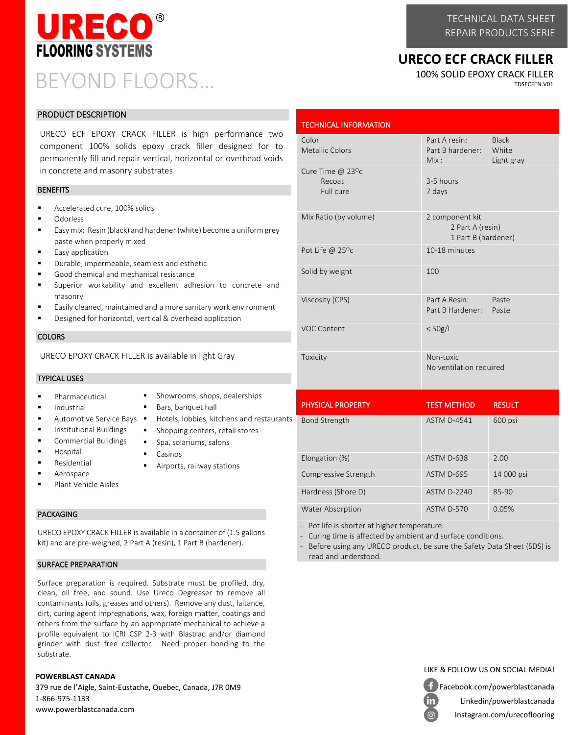

# BEYOND FLOORS…

TECHNICAL DATA SHEET REPAIR PRODUCTS SERIE

# **URECO ECF CRACK FILLER**

100% SOLID EPOXY CRACK FILLER TDSECFEN.V01

## PRODUCT DESCRIPTION

URECO ECF EPOXY CRACK FILLER is high performance two component 100% solids epoxy crack filler designed for to permanently fill and repair vertical, horizontal or overhead voids in concrete and masonry substrates.

### BENEFITS

- Accelerated cure, 100% solids
- Odorless
- Easy mix: Resin (black) and hardener (white) become a uniform grey paste when properly mixed
- Easy application
- Durable, impermeable, seamless and esthetic
- Good chemical and mechanical resistance
- Superior workability and excellent adhesion to concrete and masonry
- Easily cleaned, maintained and a more sanitary work environment

Showrooms, shops, dealerships

Shopping centers, retail stores

Hotels, lobbies, kitchens and restaurants

Bars, banquet hall

■ Spa, solariums, salons

■ Airports, railway stations

Casinos

Designed for horizontal, vertical & overhead application

# **COLORS**

URECO EPOXY CRACK FILLER is available in light Gray

## TYPICAL USES

- Pharmaceutical
- **Industrial**
- Automotive Service Bays ■
- Institutional Buildings
- Commercial Buildings
- **Hospital**
- Residential
- Aerospace
- Plant Vehicle Aisles

### PACKAGING

URECO EPOXY CRACK FILLER is available in a container of (1.5 gallons kit) and are pre-weighed, 2 Part A (resin), 1 Part B (hardener).

## SURFACE PREPARATION

Surface preparation is required. Substrate must be profiled, dry, clean, oil free, and sound. Use Ureco Degreaser to remove all contaminants (oils, greases and others). Remove any dust, laitance, dirt, curing agent impregnations, wax, foreign matter, coatings and others from the surface by an appropriate mechanical to achieve a profile equivalent to ICRI CSP 2-3 with Blastrac and/or diamond grinder with dust free collector. Need proper bonding to the substrate.

# **POWERBLAST CANADA**

379 rue de l'Aigle, Saint-Eustache, Quebec, Canada, J7R 0M9 1-866-975-1133 www.powerblastcanada.com

| <b>TECHNICAL INFORMATION</b>                           |                                                                        |  |
|--------------------------------------------------------|------------------------------------------------------------------------|--|
| Color<br>Metallic Colors                               | Black<br>Part A resin:<br>Part B hardener: White<br>Light gray<br>Mix: |  |
| Cure Time $@$ 23 <sup>o</sup> c<br>Recoat<br>Full cure | 3-5 hours<br>7 days                                                    |  |
| Mix Ratio (by volume)                                  | 2 component kit<br>2 Part A (resin)<br>1 Part B (hardener)             |  |
| Pot Life @ $25^{\circ}$ c                              | 10-18 minutes                                                          |  |
| Solid by weight                                        | 100                                                                    |  |
| Viscosity (CPS)                                        | Part A Resin:<br><b>Paste</b><br>Part B Hardener: Paste                |  |
| <b>VOC Content</b>                                     | $<$ 50g/L                                                              |  |
| Toxicity                                               | Non-toxic<br>No ventilation required                                   |  |

| <b>PHYSICAL PROPERTY</b> | <b>TEST METHOD</b> | <b>RESULT</b> |
|--------------------------|--------------------|---------------|
| <b>Bond Strength</b>     | <b>ASTM D-4541</b> | 600 psi       |
| Elongation (%)           | ASTM D-638         | 2.00          |
| Compressive Strength     | ASTM D-695         | 14 000 psi    |
| Hardness (Shore D)       | <b>ASTM D-2240</b> | 85-90         |
| <b>Water Absorption</b>  | ASTM D-570         | 0.05%         |

Pot life is shorter at higher temperature.

- Curing time is affected by ambient and surface conditions.

- Before using any URECO product, be sure the Safety Data Sheet (SDS) is read and understood.